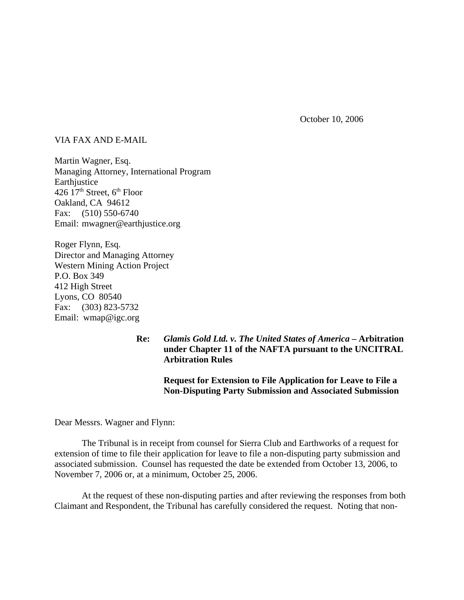October 10, 2006

## VIA FAX AND E-MAIL

Martin Wagner, Esq. Managing Attorney, International Program **Earthjustice** 426  $17<sup>th</sup>$  Street,  $6<sup>th</sup>$  Floor Oakland, CA 94612 Fax: (510) 550-6740 Email: mwagner@earthjustice.org

Roger Flynn, Esq. Director and Managing Attorney Western Mining Action Project P.O. Box 349 412 High Street Lyons, CO 80540 Fax: (303) 823-5732 Email: wmap@igc.org

> **Re:** *Glamis Gold Ltd. v. The United States of America* **– Arbitration under Chapter 11 of the NAFTA pursuant to the UNCITRAL Arbitration Rules**

> > **Request for Extension to File Application for Leave to File a Non-Disputing Party Submission and Associated Submission**

Dear Messrs. Wagner and Flynn:

The Tribunal is in receipt from counsel for Sierra Club and Earthworks of a request for extension of time to file their application for leave to file a non-disputing party submission and associated submission. Counsel has requested the date be extended from October 13, 2006, to November 7, 2006 or, at a minimum, October 25, 2006.

At the request of these non-disputing parties and after reviewing the responses from both Claimant and Respondent, the Tribunal has carefully considered the request. Noting that non